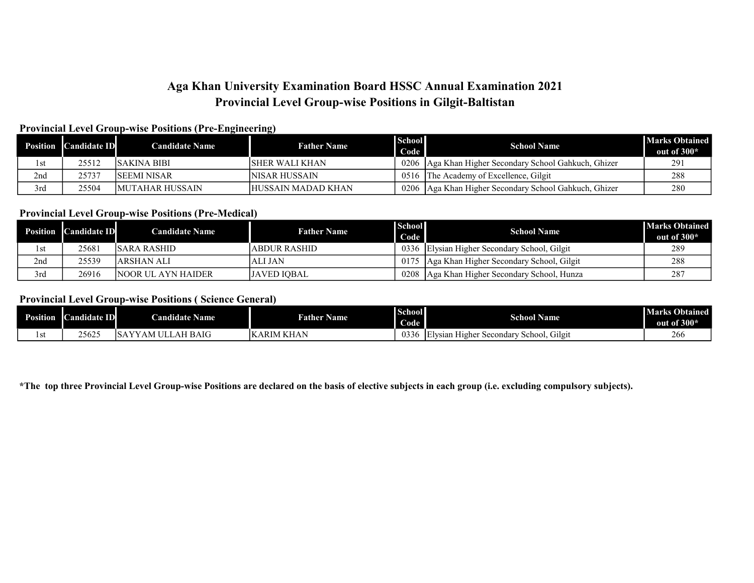# Aga Khan University Examination Board HSSC Annual Examination 2021 Provincial Level Group-wise Positions in Gilgit-Baltistan

# Provincial Level Group-wise Positions (Pre-Engineering)

| <b>Position</b> | <b>Candidate ID</b> | <b>Candidate Name</b>   | <b>Father Name</b>        | School<br>Code | <b>School Name</b>                                      | <b>Marks Obtained</b><br>out of 300* |
|-----------------|---------------------|-------------------------|---------------------------|----------------|---------------------------------------------------------|--------------------------------------|
| l st            | 25512               | ISAKINA BIBI            | ISHER WALI KHAN           |                | 0206 Aga Khan Higher Secondary School Gahkuch, Ghizer   | 291                                  |
| 2nd             | 25737               | ISEEMI NISAR            | INISAR HUSSAIN            |                | 0516 The Academy of Excellence, Gilgit                  | 288                                  |
| 3rd             | 25504               | <b>IMUTAHAR HUSSAIN</b> | <b>HUSSAIN MADAD KHAN</b> |                | 0206   Aga Khan Higher Secondary School Gahkuch, Ghizer | 280                                  |

### Provincial Level Group-wise Positions (Pre-Medical)

|      | <b>Position Candidate ID</b> | <b>Candidate Name</b>      | <b>Father Name</b> | <b>School</b><br>Code | <b>School Name</b>                            | <b>Marks Obtained</b><br>out of $300*$ |
|------|------------------------------|----------------------------|--------------------|-----------------------|-----------------------------------------------|----------------------------------------|
| l st | 25681                        | ISARA RASHID               | IABDUR RASHID      |                       | 0336 Elysian Higher Secondary School, Gilgit  | 289                                    |
| 2nd  | 25539                        | ARSHAN ALI                 | ALI JAN            |                       | 0175 Aga Khan Higher Secondary School, Gilgit | 288                                    |
| 3rd  | 26916                        | <b>INOOR UL AYN HAIDER</b> | IJAVED IOBAL       | 0208                  | Aga Khan Higher Secondary School, Hunza       | 287                                    |

#### Provincial Level Group-wise Positions ( Science General)

| <b>Position</b> | <b>Candidate</b><br>m<br>ш | <b>Candidate Name</b>                        | <b>Father Name</b>                  | <b>School</b><br>Code | <b>School Name</b>                                               | <b>Marks Obtained</b><br>out of 300* |
|-----------------|----------------------------|----------------------------------------------|-------------------------------------|-----------------------|------------------------------------------------------------------|--------------------------------------|
| 1 S L           | 25625                      | AH BAIG<br>$\lambda$<br>. .<br>ÆH<br>١V<br>. | <b><i>LKHAN</i></b><br><b>KARIM</b> | 033(<br>Κf            | Secondary<br>vsiar<br>`OOI.<br>. Higher<br>∸Sch∈<br>G11211<br>ΙE |                                      |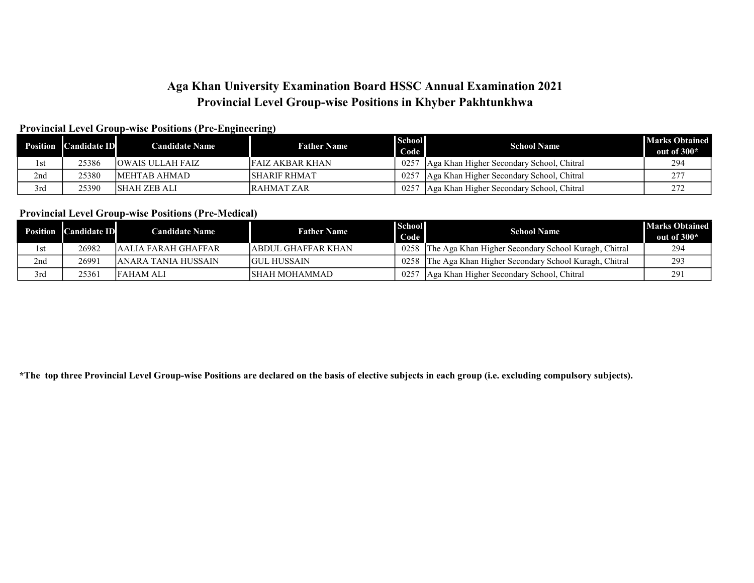# Aga Khan University Examination Board HSSC Annual Examination 2021 Provincial Level Group-wise Positions in Khyber Pakhtunkhwa

# Provincial Level Group-wise Positions (Pre-Engineering)

| Position | <b>Candidate ID</b> | <b>Candidate Name</b>    | <b>Father Name</b> | <b>School</b><br>Code | <b>School Name</b>                        | <b>Marks Obtained</b><br>out of 300* |
|----------|---------------------|--------------------------|--------------------|-----------------------|-------------------------------------------|--------------------------------------|
| l st     | 25386               | <b>JOWAIS ULLAH FAIZ</b> | IFAIZ AKBAR KHAN   | 0257                  | Aga Khan Higher Secondary School, Chitral | 294                                  |
| 2nd      | 25380               | IMEHTAB AHMAD-           | ISHARIF RHMAT      | 0257                  | Aga Khan Higher Secondary School, Chitral |                                      |
| 3rd      | 25390               | ISHAH ZEB ALI            | IRAHMAT ZAR        | 0257                  | Aga Khan Higher Secondary School, Chitral |                                      |

### Provincial Level Group-wise Positions (Pre-Medical)

|     | <b>Position Candidate ID</b> | <b>Candidate Name</b> | <b>Father Name</b>  | <b>School</b><br>Code | <b>School Name</b>                                        | <b>Marks Obtained</b><br>out of 300* |
|-----|------------------------------|-----------------------|---------------------|-----------------------|-----------------------------------------------------------|--------------------------------------|
|     | 26982                        | JAALIA FARAH GHAFFAR  | JABDUL GHAFFAR KHAN |                       | 0258 The Aga Khan Higher Secondary School Kuragh, Chitral | 294                                  |
| 2nd | 26991                        | JANARA TANIA HUSSAIN- | IGUL HUSSAIN        | 0258                  | The Aga Khan Higher Secondary School Kuragh, Chitral      | 293                                  |
| 3rd | 25361                        | lfaham ali            | ISHAH MOHAMMAD      | 0257                  | Aga Khan Higher Secondary School, Chitral                 | 291                                  |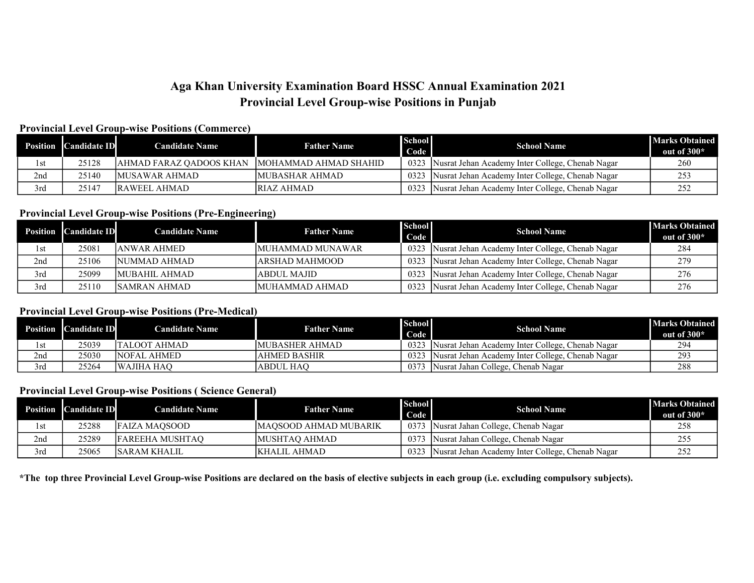# Aga Khan University Examination Board HSSC Annual Examination 2021 Provincial Level Group-wise Positions in Punjab

#### Provincial Level Group-wise Positions (Commerce)

|      | <b>Position</b> Candidate ID | <b>Candidate Name</b>   | <b>Father Name</b>     | <b>School</b><br>Code | <b>School Name</b>                               | <b>Marks Obtained</b><br>out of 300* |
|------|------------------------------|-------------------------|------------------------|-----------------------|--------------------------------------------------|--------------------------------------|
| l st | 25128                        | AHMAD FARAZ OADOOS KHAN | IMOHAMMAD AHMAD SHAHID | 0323                  | Nusrat Jehan Academy Inter College, Chenab Nagar | 260                                  |
| 2nd  | 25140                        | IMUSAWAR AHMAD          | IMUBASHAR AHMAD        | 0323                  | Nusrat Jehan Academy Inter College, Chenab Nagar |                                      |
| 3rd  | 25147                        | <b>IRAWEEL AHMAD</b>    | <b>IRIAZ AHMAD</b>     | 0323                  | Nusrat Jehan Academy Inter College, Chenab Nagar |                                      |

## Provincial Level Group-wise Positions (Pre-Engineering)

|     | <b>Position Candidate ID</b> | <b>Candidate Name</b> | <b>Father Name</b> | <b>School</b><br>Code | <b>School Name</b>                               | <b>Marks Obtained</b><br>out of $300*$ |
|-----|------------------------------|-----------------------|--------------------|-----------------------|--------------------------------------------------|----------------------------------------|
| 1st | 25081                        | JANWAR AHMED          | MUHAMMAD MUNAWAR   | 0323                  | Nusrat Jehan Academy Inter College, Chenab Nagar | 284                                    |
| 2nd | 25106                        | INUMMAD AHMAD         | ARSHAD MAHMOOD     | 0323                  | Nusrat Jehan Academy Inter College, Chenab Nagar | 279                                    |
| 3rd | 25099                        | IMUBAHIL AHMAD        | <b>ABDUL MAJID</b> | 0323                  | Nusrat Jehan Academy Inter College, Chenab Nagar | 276                                    |
| 3rd | 25110                        | ISAMRAN AHMAD         | MUHAMMAD AHMAD     | 0323                  | Nusrat Jehan Academy Inter College, Chenab Nagar | 276                                    |

# Provincial Level Group-wise Positions (Pre-Medical)

|      | <b>Position</b> Candidate ID | <b>Candidate Name</b> | <b>Father Name</b>     | <b>School</b><br>Code | <b>School Name</b>                                | <b>Marks Obtained</b><br>out of 300* |
|------|------------------------------|-----------------------|------------------------|-----------------------|---------------------------------------------------|--------------------------------------|
| l st | 25039                        | TALOOT AHMAD          | <b>IMUBASHER AHMAD</b> | 0323                  | Nusrat Jehan Academy Inter College, Chenab Nagar  | 294                                  |
| 2nd  | 25030                        | <b>NOFAL AHMED</b>    | <b>AHMED BASHIR</b>    | 0323                  | INusrat Jehan Academy Inter College, Chenab Nagar | 293                                  |
| 3rd  | 25264                        | <b>WAJIHA HAO</b>     | <b>ABDUL HAO</b>       | 037.                  | Wusrat Jahan College, Chenab Nagar                | 288                                  |

### Provincial Level Group-wise Positions ( Science General)

|     | <b>Position Candidate ID</b> | <b>Candidate Name</b>   | <b>Father Name</b>            | <b>School</b><br>Code | <b>School Name</b>                               | <b>Marks Obtained</b><br>out of $300*$ |
|-----|------------------------------|-------------------------|-------------------------------|-----------------------|--------------------------------------------------|----------------------------------------|
|     | 25288                        | <b>FAIZA MAOSOOD</b>    | <b>IMAOSOOD AHMAD MUBARIK</b> | 0373                  | Nusrat Jahan College, Chenab Nagar               |                                        |
| 2nd | 25289                        | <b>IFAREEHA MUSHTAO</b> | IMUSHTAO AHMAD                | 0373                  | Nusrat Jahan College, Chenab Nagar               |                                        |
| 3rd | 25065                        | ISARAM KHALIL           | IKHALIL AHMAD                 | 0323                  | Nusrat Jehan Academy Inter College, Chenab Nagar |                                        |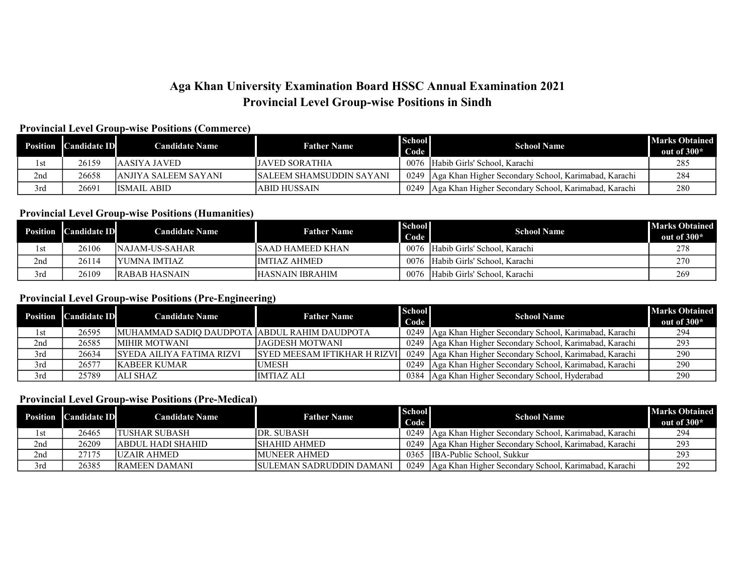# Aga Khan University Examination Board HSSC Annual Examination 2021 Provincial Level Group-wise Positions in Sindh

## Provincial Level Group-wise Positions (Commerce)

|      | <b>Position Candidate ID</b> | <b>Candidate Name</b> | <b>Father Name</b>        | <b>School</b><br>Code | <b>School Name</b>                                          | <b>Marks Obtained</b><br>out of $300*$ |
|------|------------------------------|-----------------------|---------------------------|-----------------------|-------------------------------------------------------------|----------------------------------------|
| l st | 26159                        | IAASIYA JAVED-        | <b>JAVED SORATHIA</b>     | 0076                  | Habib Girls' School, Karachi                                | 285                                    |
| 2nd  | 26658                        | JANJIYA SALEEM SAYANI | ISALEEM SHAMSUDDIN SAYANI |                       | 0249   Aga Khan Higher Secondary School, Karimabad, Karachi | 284                                    |
| 3rd  | 26691                        | <b>IISMAIL ABID</b>   | ABID HUSSAIN              | 0249                  | Aga Khan Higher Secondary School, Karimabad, Karachi        | 280                                    |

### Provincial Level Group-wise Positions (Humanities)

| Position | <b>Candidate ID</b> | <b>Candidate Name</b> | <b>Father Name</b> | <b>School</b><br>Code | <b>School Name</b>                | <b>Marks Obtained</b><br>out of $300*$ |
|----------|---------------------|-----------------------|--------------------|-----------------------|-----------------------------------|----------------------------------------|
| l st     | 26106               | INAJAM-US-SAHAR       | ISAAD HAMEED KHAN  | 0076                  | Habib Girls' School. Karachi      | 278                                    |
| 2nd      | 26114               | IYUMNA IMTIAZ         | IIMTIAZ AHMED-     |                       | 0076 Habib Girls' School, Karachi | 270                                    |
| 3rd      | 26109               | IRABAB HASNAIN        | HASNAIN IBRAHIM    | 0076                  | l Habib Girls' School. Karachi    | 269                                    |

### Provincial Level Group-wise Positions (Pre-Engineering)

|      | <b>Position</b> Candidate ID | <b>Candidate Name</b>                          | <b>Father Name</b>                  | <b>School</b><br>Code | <b>School Name</b>                                          | <b>Marks Obtained</b><br>out of $300*$ |
|------|------------------------------|------------------------------------------------|-------------------------------------|-----------------------|-------------------------------------------------------------|----------------------------------------|
| l st | 26595                        | IMUHAMMAD SADIO DAUDPOTA LABDUL RAHIM DAUDPOTA |                                     |                       | 0249   Aga Khan Higher Secondary School, Karimabad, Karachi | 294                                    |
| 2nd  | 26585                        | IMIHIR MOTWANI                                 | LJAGDESH MOTWANI                    |                       | 0249   Aga Khan Higher Secondary School, Karimabad, Karachi | 293                                    |
| 3rd  | 26634                        | ISYEDA AILIYA FATIMA RIZVI-                    | <b>SYED MEESAM IFTIKHAR H RIZVI</b> |                       | 0249   Aga Khan Higher Secondary School, Karimabad, Karachi | 290                                    |
| 3rd  | 26577                        | <b>IKABEER KUMAR</b>                           | <b>IUMESH</b>                       |                       | 0249   Aga Khan Higher Secondary School, Karimabad, Karachi | 290                                    |
| 3rd  | 25789                        | IALI SHAZ                                      | <b>IMTIAZ ALI</b>                   |                       | 0384   Aga Khan Higher Secondary School, Hyderabad          | 290                                    |

### Provincial Level Group-wise Positions (Pre-Medical)

| <b>Position</b> 1 | <b>Candidate ID</b> | <b>Candidate Name</b> | <b>Father Name</b>               | <b>School</b><br>Code | <b>School Name</b>                                   | <b>Marks Obtained</b><br>out of $300*$ |
|-------------------|---------------------|-----------------------|----------------------------------|-----------------------|------------------------------------------------------|----------------------------------------|
| l st              | 26465               | ITUSHAR SUBASH        | DR. SUBASH                       | 0249                  | Aga Khan Higher Secondary School, Karimabad, Karachi | 294                                    |
| 2nd               | 26209               | labdul hadi shahid    | ISHAHID AHMED.                   | 0249                  | Aga Khan Higher Secondary School, Karimabad, Karachi | 293                                    |
| 2nd               | 27175               | <b>IUZAIR AHMED</b>   | MUNEER AHMED                     | 0365                  | IBA-Public School, Sukkur                            | 293                                    |
| 3rd               | 26385               | <b>RAMEEN DAMANI</b>  | <b>ISULEMAN SADRUDDIN DAMANI</b> | 0249                  | Aga Khan Higher Secondary School, Karimabad, Karachi | 292                                    |